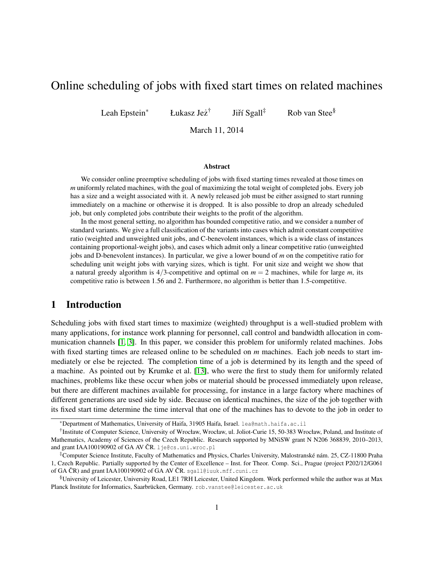# Online scheduling of jobs with fixed start times on related machines

Leah Epstein<sup>\*</sup>

Łukasz Jeż<sup>†</sup>

Jiří Sgall $\ddagger$  Rob van Stee<sup>§</sup>

March 11, 2014

#### Abstract

We consider online preemptive scheduling of jobs with fixed starting times revealed at those times on *m* uniformly related machines, with the goal of maximizing the total weight of completed jobs. Every job has a size and a weight associated with it. A newly released job must be either assigned to start running immediately on a machine or otherwise it is dropped. It is also possible to drop an already scheduled job, but only completed jobs contribute their weights to the profit of the algorithm.

In the most general setting, no algorithm has bounded competitive ratio, and we consider a number of standard variants. We give a full classification of the variants into cases which admit constant competitive ratio (weighted and unweighted unit jobs, and C-benevolent instances, which is a wide class of instances containing proportional-weight jobs), and cases which admit only a linear competitive ratio (unweighted jobs and D-benevolent instances). In particular, we give a lower bound of *m* on the competitive ratio for scheduling unit weight jobs with varying sizes, which is tight. For unit size and weight we show that a natural greedy algorithm is  $4/3$ -competitive and optimal on  $m = 2$  machines, while for large *m*, its competitive ratio is between 1.56 and 2. Furthermore, no algorithm is better than 1.5-competitive.

# 1 Introduction

Scheduling jobs with fixed start times to maximize (weighted) throughput is a well-studied problem with many applications, for instance work planning for personnel, call control and bandwidth allocation in communication channels [\[1,](#page-16-0) [3\]](#page-16-1). In this paper, we consider this problem for uniformly related machines. Jobs with fixed starting times are released online to be scheduled on *m* machines. Each job needs to start immediately or else be rejected. The completion time of a job is determined by its length and the speed of a machine. As pointed out by Krumke et al. [\[13\]](#page-17-0), who were the first to study them for uniformly related machines, problems like these occur when jobs or material should be processed immediately upon release, but there are different machines available for processing, for instance in a large factory where machines of different generations are used side by side. Because on identical machines, the size of the job together with its fixed start time determine the time interval that one of the machines has to devote to the job in order to

<sup>∗</sup>Department of Mathematics, University of Haifa, 31905 Haifa, Israel. lea@math.haifa.ac.il

<sup>&</sup>lt;sup>†</sup> Institute of Computer Science, University of Wrocław, Wrocław, ul. Joliot-Curie 15, 50-383 Wrocław, Poland, and Institute of Mathematics, Academy of Sciences of the Czech Republic. Research supported by MNiSW grant N N206 368839, 2010–2013, and grant IAA100190902 of GA AV ČR. lje@cs.uni.wroc.pl

<sup>‡</sup>Computer Science Institute, Faculty of Mathematics and Physics, Charles University, Malostranské nám. 25, CZ-11800 Praha 1, Czech Republic. Partially supported by the Center of Excellence – Inst. for Theor. Comp. Sci., Prague (project P202/12/G061 of GA  $\text{CR}$ ) and grant IAA100190902 of GA AV  $\text{CR}$ . sgall@iuuk.mff.cuni.cz

<sup>§</sup>University of Leicester, University Road, LE1 7RH Leicester, United Kingdom. Work performed while the author was at Max Planck Institute for Informatics, Saarbrücken, Germany. rob. vanstee@leicester.ac.uk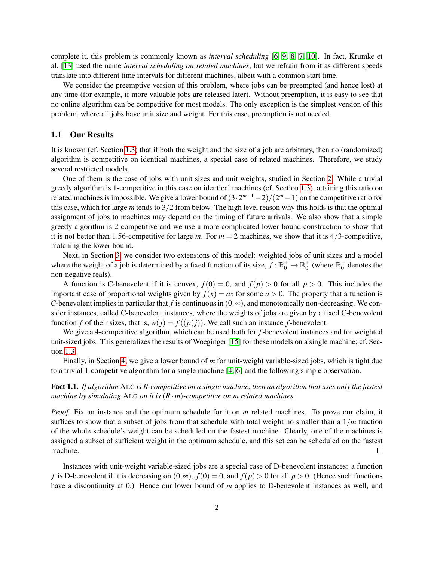complete it, this problem is commonly known as *interval scheduling* [\[6,](#page-16-2) [9,](#page-17-1) [8,](#page-17-2) [7,](#page-17-3) [10\]](#page-17-4). In fact, Krumke et al. [\[13\]](#page-17-0) used the name *interval scheduling on related machines*, but we refrain from it as different speeds translate into different time intervals for different machines, albeit with a common start time.

We consider the preemptive version of this problem, where jobs can be preempted (and hence lost) at any time (for example, if more valuable jobs are released later). Without preemption, it is easy to see that no online algorithm can be competitive for most models. The only exception is the simplest version of this problem, where all jobs have unit size and weight. For this case, preemption is not needed.

## 1.1 Our Results

It is known (cf. Section [1.3\)](#page-2-0) that if both the weight and the size of a job are arbitrary, then no (randomized) algorithm is competitive on identical machines, a special case of related machines. Therefore, we study several restricted models.

One of them is the case of jobs with unit sizes and unit weights, studied in Section [2.](#page-3-0) While a trivial greedy algorithm is 1-competitive in this case on identical machines (cf. Section [1.3\)](#page-2-0), attaining this ratio on related machines is impossible. We give a lower bound of (3·2 *<sup>m</sup>*−1−2)/(2 *<sup>m</sup>*−1) on the competitive ratio for this case, which for large *m* tends to 3/2 from below. The high level reason why this holds is that the optimal assignment of jobs to machines may depend on the timing of future arrivals. We also show that a simple greedy algorithm is 2-competitive and we use a more complicated lower bound construction to show that it is not better than 1.56-competitive for large *m*. For  $m = 2$  machines, we show that it is  $4/3$ -competitive, matching the lower bound.

Next, in Section [3,](#page-9-0) we consider two extensions of this model: weighted jobs of unit sizes and a model where the weight of a job is determined by a fixed function of its size,  $f : \mathbb{R}_0^+ \to \mathbb{R}_0^+$  (where  $\mathbb{R}_0^+$  denotes the non-negative reals).

A function is C-benevolent if it is convex,  $f(0) = 0$ , and  $f(p) > 0$  for all  $p > 0$ . This includes the important case of proportional weights given by  $f(x) = ax$  for some  $a > 0$ . The property that a function is *C*-benevolent implies in particular that *f* is continuous in  $(0, \infty)$ , and monotonically non-decreasing. We consider instances, called C-benevolent instances, where the weights of jobs are given by a fixed C-benevolent function *f* of their sizes, that is,  $w(j) = f((p(j)))$ . We call such an instance *f*-benevolent.

We give a 4-competitive algorithm, which can be used both for *f*-benevolent instances and for weighted unit-sized jobs. This generalizes the results of Woeginger [\[15\]](#page-17-5) for these models on a single machine; cf. Section [1.3.](#page-2-0)

Finally, in Section [4,](#page-13-0) we give a lower bound of *m* for unit-weight variable-sized jobs, which is tight due to a trivial 1-competitive algorithm for a single machine [\[4,](#page-16-3) [6\]](#page-16-2) and the following simple observation.

## <span id="page-1-0"></span>Fact 1.1. *If algorithm* ALG *is R-competitive on a single machine, then an algorithm that uses only the fastest machine by simulating* ALG *on it is* (*R*·*m*)*-competitive on m related machines.*

*Proof.* Fix an instance and the optimum schedule for it on *m* related machines. To prove our claim, it suffices to show that a subset of jobs from that schedule with total weight no smaller than a 1/*m* fraction of the whole schedule's weight can be scheduled on the fastest machine. Clearly, one of the machines is assigned a subset of sufficient weight in the optimum schedule, and this set can be scheduled on the fastest machine.  $\Box$ 

Instances with unit-weight variable-sized jobs are a special case of D-benevolent instances: a function *f* is D-benevolent if it is decreasing on  $(0, \infty)$ ,  $f(0) = 0$ , and  $f(p) > 0$  for all  $p > 0$ . (Hence such functions have a discontinuity at 0.) Hence our lower bound of *m* applies to D-benevolent instances as well, and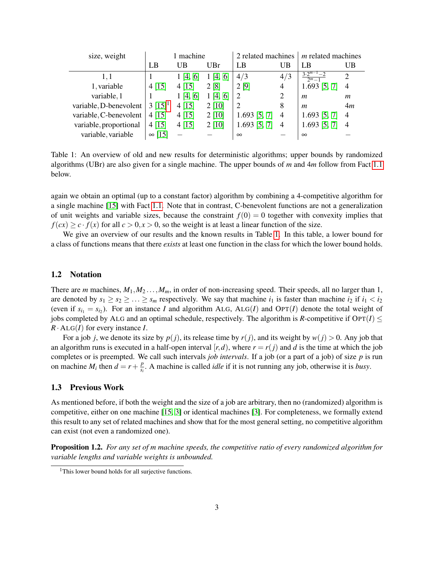| size, weight           | 1 machine                     |             |                        | 2 related machines |                | <i>m</i> related machines       |    |
|------------------------|-------------------------------|-------------|------------------------|--------------------|----------------|---------------------------------|----|
|                        | LB                            | UB          | UBr                    | LB                 | UB             | LB                              | UB |
| 1.1                    |                               | 1[4, 6]     | [4, 6]                 | 4/3                | 4/3            | $3 \cdot 2^{m-1} - 2$<br>$2m-1$ | 2  |
| 1, variable            | 4[15]                         | 4[15]       | $\lceil 8 \rceil$<br>2 | 2[9]               | $\overline{4}$ | $1.693$ [5,                     | 4  |
| variable, 1            |                               | 1[4, 6]     | 6<br>[4,               |                    | 2              | m                               | m  |
| variable, D-benevolent | $3[15]^{1}$                   | $4 \; [15]$ | 2[10]                  |                    | 8              | m                               | 4m |
| variable, C-benevolent | 4[15]                         | $4 \; [15]$ | 2[10]                  | $1.693$ [5, 7]     | $\overline{4}$ | $1.693$ [5,                     | 4  |
| variable, proportional | 4[15]                         | 4[15]       | 2[10]                  | $1.693$ [5, 7]     |                | $1.693$ [5,                     |    |
| variable, variable     | $\left[15\right]$<br>$\infty$ |             |                        | $\infty$           |                | $\infty$                        |    |

<span id="page-2-2"></span>Table 1: An overview of old and new results for deterministic algorithms; upper bounds by randomized algorithms (UBr) are also given for a single machine. The upper bounds of *m* and 4*m* follow from Fact [1.1](#page-1-0) below.

again we obtain an optimal (up to a constant factor) algorithm by combining a 4-competitive algorithm for a single machine [\[15\]](#page-17-5) with Fact [1.1.](#page-1-0) Note that in contrast, C-benevolent functions are not a generalization of unit weights and variable sizes, because the constraint  $f(0) = 0$  together with convexity implies that  $f(cx) \ge c \cdot f(x)$  for all  $c > 0, x > 0$ , so the weight is at least a linear function of the size.

We give an overview of our results and the known results in Table [1.](#page-2-2) In this table, a lower bound for a class of functions means that there *exists* at least one function in the class for which the lower bound holds.

## 1.2 Notation

There are *m* machines,  $M_1, M_2, \ldots, M_m$ , in order of non-increasing speed. Their speeds, all no larger than 1, are denoted by  $s_1 \geq s_2 \geq \ldots \geq s_m$  respectively. We say that machine  $i_1$  is faster than machine  $i_2$  if  $i_1 < i_2$ (even if  $s_{i_1} = s_{i_2}$ ). For an instance *I* and algorithm ALG, ALG(*I*) and OPT(*I*) denote the total weight of jobs completed by ALG and an optimal schedule, respectively. The algorithm is *R*-competitive if  $\text{OPT}(I) \leq$  $R \cdot \text{ALG}(I)$  for every instance *I*.

For a job *j*, we denote its size by  $p(j)$ , its release time by  $r(j)$ , and its weight by  $w(j) > 0$ . Any job that an algorithm runs is executed in a half-open interval  $[r, d)$ , where  $r = r(j)$  and *d* is the time at which the job completes or is preempted. We call such intervals *job intervals*. If a job (or a part of a job) of size *p* is run on machine  $M_i$  then  $d = r + \frac{p}{s_i}$  $\frac{p}{s_i}$ . A machine is called *idle* if it is not running any job, otherwise it is *busy*.

## <span id="page-2-0"></span>1.3 Previous Work

As mentioned before, if both the weight and the size of a job are arbitrary, then no (randomized) algorithm is competitive, either on one machine [\[15,](#page-17-5) [3\]](#page-16-1) or identical machines [\[3\]](#page-16-1). For completeness, we formally extend this result to any set of related machines and show that for the most general setting, no competitive algorithm can exist (not even a randomized one).

Proposition 1.2. *For any set of m machine speeds, the competitive ratio of every randomized algorithm for variable lengths and variable weights is unbounded.*

<span id="page-2-1"></span><sup>&</sup>lt;sup>1</sup>This lower bound holds for all surjective functions.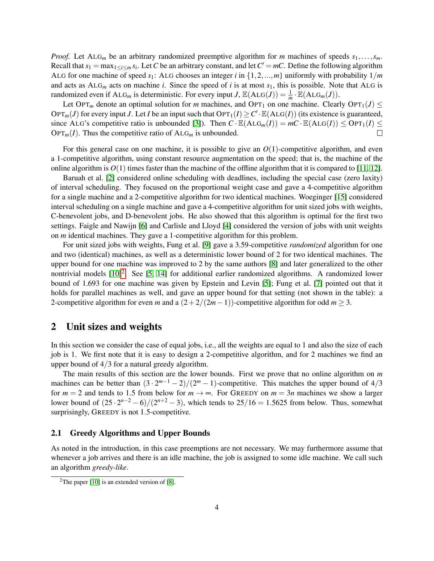*Proof.* Let ALG<sub>*m*</sub> be an arbitrary randomized preemptive algorithm for *m* machines of speeds  $s_1, \ldots, s_m$ . Recall that  $s_1 = \max_{1 \le i \le m} s_i$ . Let *C* be an arbitrary constant, and let  $C' = mC$ . Define the following algorithm ALG for one machine of speed  $s_1$ : ALG chooses an integer *i* in  $\{1,2,...,m\}$  uniformly with probability  $1/m$ and acts as ALG*<sup>m</sup>* acts on machine *i*. Since the speed of *i* is at most *s*1, this is possible. Note that ALG is randomized even if  $ALG_m$  is deterministic. For every input *J*,  $\mathbb{E}(ALG(J)) = \frac{1}{m} \cdot \mathbb{E}(ALG_m(J)).$ 

Let OPT<sub>*m*</sub> denote an optimal solution for *m* machines, and OPT<sub>1</sub> on one machine. Clearly OPT<sub>1</sub>(*J*)  $\leq$ OPT<sub>*m*</sub>(*J*) for every input *J*. Let *I* be an input such that OPT<sub>1</sub>(*I*)  $\geq$  *C*<sup>'</sup> $\cdot$   $\mathbb{E}(ALG(I))$  (its existence is guaranteed, since ALG's competitive ratio is unbounded [\[3\]](#page-16-1)). Then  $C \cdot \mathbb{E}(ALG_m(I)) = mC \cdot \mathbb{E}(ALG(I)) \leq OPT_1(I) \leq$ OPT<sub>*m*</sub>(*I*). Thus the competitive ratio of ALG<sub>*m*</sub> is unbounded.  $\Box$ 

For this general case on one machine, it is possible to give an  $O(1)$ -competitive algorithm, and even a 1-competitive algorithm, using constant resource augmentation on the speed; that is, the machine of the online algorithm is  $O(1)$  times faster than the machine of the offline algorithm that it is compared to [\[11,](#page-17-6) [12\]](#page-17-7).

Baruah et al. [\[2\]](#page-16-5) considered online scheduling with deadlines, including the special case (zero laxity) of interval scheduling. They focused on the proportional weight case and gave a 4-competitive algorithm for a single machine and a 2-competitive algorithm for two identical machines. Woeginger [\[15\]](#page-17-5) considered interval scheduling on a single machine and gave a 4-competitive algorithm for unit sized jobs with weights, C-benevolent jobs, and D-benevolent jobs. He also showed that this algorithm is optimal for the first two settings. Faigle and Nawijn [\[6\]](#page-16-2) and Carlisle and Lloyd [\[4\]](#page-16-3) considered the version of jobs with unit weights on *m* identical machines. They gave a 1-competitive algorithm for this problem.

For unit sized jobs with weights, Fung et al. [\[9\]](#page-17-1) gave a 3.59-competitive *randomized* algorithm for one and two (identical) machines, as well as a deterministic lower bound of 2 for two identical machines. The upper bound for one machine was improved to 2 by the same authors [\[8\]](#page-17-2) and later generalized to the other nontrivial models  $[10]^2$  $[10]^2$  $[10]^2$ . See [\[5,](#page-16-4) [14\]](#page-17-8) for additional earlier randomized algorithms. A randomized lower bound of 1.693 for one machine was given by Epstein and Levin [\[5\]](#page-16-4); Fung et al. [\[7\]](#page-17-3) pointed out that it holds for parallel machines as well, and gave an upper bound for that setting (not shown in the table): a 2-competitive algorithm for even *m* and a  $(2+2/(2m-1))$ -competitive algorithm for odd  $m \ge 3$ .

# <span id="page-3-0"></span>2 Unit sizes and weights

In this section we consider the case of equal jobs, i.e., all the weights are equal to 1 and also the size of each job is 1. We first note that it is easy to design a 2-competitive algorithm, and for 2 machines we find an upper bound of 4/3 for a natural greedy algorithm.

The main results of this section are the lower bounds. First we prove that no online algorithm on *m* machines can be better than  $(3 \cdot 2^{m-1} - 2)/(2^m - 1)$ -competitive. This matches the upper bound of 4/3 for  $m = 2$  and tends to 1.5 from below for  $m \to \infty$ . For GREEDY on  $m = 3n$  machines we show a larger lower bound of  $(25 \cdot 2^{n-2} - 6)/(2^{n+2} - 3)$ , which tends to  $25/16 = 1.5625$  from below. Thus, somewhat surprisingly, GREEDY is not 1.5-competitive.

### <span id="page-3-2"></span>2.1 Greedy Algorithms and Upper Bounds

As noted in the introduction, in this case preemptions are not necessary. We may furthermore assume that whenever a job arrives and there is an idle machine, the job is assigned to some idle machine. We call such an algorithm *greedy-like*.

<span id="page-3-1"></span><sup>&</sup>lt;sup>2</sup>The paper [\[10\]](#page-17-4) is an extended version of [\[8\]](#page-17-2).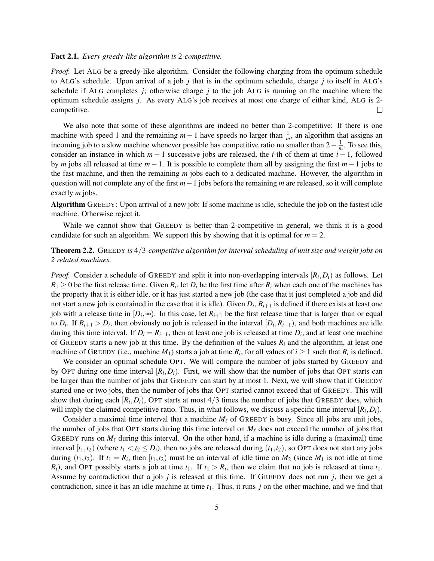#### Fact 2.1. *Every greedy-like algorithm is* 2*-competitive.*

*Proof.* Let ALG be a greedy-like algorithm. Consider the following charging from the optimum schedule to ALG's schedule. Upon arrival of a job *j* that is in the optimum schedule, charge *j* to itself in ALG's schedule if ALG completes *j*; otherwise charge *j* to the job ALG is running on the machine where the optimum schedule assigns *j*. As every ALG's job receives at most one charge of either kind, ALG is 2 competitive.  $\Box$ 

We also note that some of these algorithms are indeed no better than 2-competitive: If there is one machine with speed 1 and the remaining  $m-1$  have speeds no larger than  $\frac{1}{m}$ , an algorithm that assigns an incoming job to a slow machine whenever possible has competitive ratio no smaller than  $2 - \frac{1}{m}$ . To see this, consider an instance in which *m* − 1 successive jobs are released, the *i*-th of them at time *i* − 1, followed by *m* jobs all released at time *m*−1. It is possible to complete them all by assigning the first *m*−1 jobs to the fast machine, and then the remaining *m* jobs each to a dedicated machine. However, the algorithm in question will not complete any of the first *m*−1 jobs before the remaining *m* are released, so it will complete exactly *m* jobs.

Algorithm GREEDY: Upon arrival of a new job: If some machine is idle, schedule the job on the fastest idle machine. Otherwise reject it.

While we cannot show that GREEDY is better than 2-competitive in general, we think it is a good candidate for such an algorithm. We support this by showing that it is optimal for  $m = 2$ .

## Theorem 2.2. GREEDY *is* 4/3*-competitive algorithm for interval scheduling of unit size and weight jobs on 2 related machines.*

*Proof.* Consider a schedule of GREEDY and split it into non-overlapping intervals [*R<sup>i</sup>* ,*Di*) as follows. Let  $R_1 \geq 0$  be the first release time. Given  $R_i$ , let  $D_i$  be the first time after  $R_i$  when each one of the machines has the property that it is either idle, or it has just started a new job (the case that it just completed a job and did not start a new job is contained in the case that it is idle). Given  $D_i$ ,  $R_{i+1}$  is defined if there exists at least one job with a release time in  $[D_i, \infty)$ . In this case, let  $R_{i+1}$  be the first release time that is larger than or equal to  $D_i$ . If  $R_{i+1} > D_i$ , then obviously no job is released in the interval  $[D_i, R_{i+1})$ , and both machines are idle during this time interval. If  $D_i = R_{i+1}$ , then at least one job is released at time  $D_i$ , and at least one machine of GREEDY starts a new job at this time. By the definition of the values  $R_i$  and the algorithm, at least one machine of GREEDY (i.e., machine  $M_1$ ) starts a job at time  $R_i$ , for all values of  $i \ge 1$  such that  $R_i$  is defined.

We consider an optimal schedule OPT. We will compare the number of jobs started by GREEDY and by OPT during one time interval  $[R_i, D_i)$ . First, we will show that the number of jobs that OPT starts can be larger than the number of jobs that GREEDY can start by at most 1. Next, we will show that if GREEDY started one or two jobs, then the number of jobs that OPT started cannot exceed that of GREEDY. This will show that during each  $[R_i, D_i)$ , OPT starts at most  $4/3$  times the number of jobs that GREEDY does, which will imply the claimed competitive ratio. Thus, in what follows, we discuss a specific time interval  $[R_i, D_i)$ .

Consider a maximal time interval that a machine  $M_\ell$  of GREEDY is busy. Since all jobs are unit jobs, the number of jobs that OPT starts during this time interval on  $M_\ell$  does not exceed the number of jobs that GREEDY runs on  $M_\ell$  during this interval. On the other hand, if a machine is idle during a (maximal) time interval  $[t_1,t_2)$  (where  $t_1 < t_2 \le D_i$ ), then no jobs are released during  $(t_1,t_2)$ , so OPT does not start any jobs during  $(t_1, t_2)$ . If  $t_1 = R_i$ , then  $[t_1, t_2)$  must be an interval of idle time on  $M_2$  (since  $M_1$  is not idle at time  $R_i$ ), and OPT possibly starts a job at time  $t_1$ . If  $t_1 > R_i$ , then we claim that no job is released at time  $t_1$ . Assume by contradiction that a job *j* is released at this time. If GREEDY does not run *j*, then we get a contradiction, since it has an idle machine at time  $t_1$ . Thus, it runs *j* on the other machine, and we find that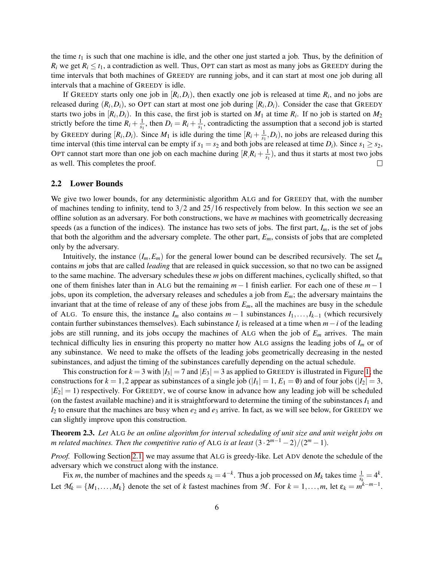the time  $t_1$  is such that one machine is idle, and the other one just started a job. Thus, by the definition of  $R_i$  we get  $R_i \leq t_1$ , a contradiction as well. Thus, OPT can start as most as many jobs as GREEDY during the time intervals that both machines of GREEDY are running jobs, and it can start at most one job during all intervals that a machine of GREEDY is idle.

If GREEDY starts only one job in  $[R_i, D_i)$ , then exactly one job is released at time  $R_i$ , and no jobs are released during  $(R_i, D_i)$ , so OPT can start at most one job during  $[R_i, D_i)$ . Consider the case that GREEDY starts two jobs in  $[R_i, D_i)$ . In this case, the first job is started on  $M_1$  at time  $R_i$ . If no job is started on  $M_2$ strictly before the time  $R_i + \frac{1}{s_1}$ , then  $D_i = R_i + \frac{1}{s_1}$ , contradicting the assumption that a second job is started by GREEDY during  $[R_i, D_i)$ . Since  $M_1$  is idle during the time  $[R_i + \frac{1}{s_1}, D_i)$ , no jobs are released during this time interval (this time interval can be empty if  $s_1 = s_2$  and both jobs are released at time  $D_i$ ). Since  $s_1 \geq s_2$ , OPT cannot start more than one job on each machine during  $[R, R_i + \frac{1}{s_1})$ , and thus it starts at most two jobs as well. This completes the proof.  $\Box$ 

## 2.2 Lower Bounds

We give two lower bounds, for any deterministic algorithm ALG and for GREEDY that, with the number of machines tending to infinity, tend to  $3/2$  and  $25/16$  respectively from below. In this section we see an offline solution as an adversary. For both constructions, we have *m* machines with geometrically decreasing speeds (as a function of the indices). The instance has two sets of jobs. The first part, *Im*, is the set of jobs that both the algorithm and the adversary complete. The other part, *Em*, consists of jobs that are completed only by the adversary.

Intuitively, the instance  $(I_m, E_m)$  for the general lower bound can be described recursively. The set  $I_m$ contains *m* jobs that are called *leading* that are released in quick succession, so that no two can be assigned to the same machine. The adversary schedules these *m* jobs on different machines, cyclically shifted, so that one of them finishes later than in ALG but the remaining *m*−1 finish earlier. For each one of these *m*−1 jobs, upon its completion, the adversary releases and schedules a job from *Em*; the adversary maintains the invariant that at the time of release of any of these jobs from  $E_m$ , all the machines are busy in the schedule of ALG. To ensure this, the instance  $I_m$  also contains  $m-1$  subinstances  $I_1, \ldots, I_{k-1}$  (which recursively contain further subinstances themselves). Each subinstance  $I_i$  is released at a time when  $m-i$  of the leading jobs are still running, and its jobs occupy the machines of ALG when the job of *E<sup>m</sup>* arrives. The main technical difficulty lies in ensuring this property no matter how ALG assigns the leading jobs of  $I_m$  or of any subinstance. We need to make the offsets of the leading jobs geometrically decreasing in the nested subinstances, and adjust the timing of the subinstances carefully depending on the actual schedule.

This construction for  $k = 3$  with  $|I_3| = 7$  and  $|E_3| = 3$  as applied to GREEDY is illustrated in Figure [1;](#page-6-0) the constructions for  $k = 1,2$  appear as subinstances of a single job  $(|I_1| = 1, E_1 = \emptyset)$  and of four jobs  $(|I_2| = 3,$  $|E_2| = 1$ ) respectively. For GREEDY, we of course know in advance how any leading job will be scheduled (on the fastest available machine) and it is straightforward to determine the timing of the subinstances  $I_1$  and *I*<sub>2</sub> to ensure that the machines are busy when  $e_2$  and  $e_3$  arrive. In fact, as we will see below, for GREEDY we can slightly improve upon this construction.

Theorem 2.3. *Let* ALG *be an online algorithm for interval scheduling of unit size and unit weight jobs on m related machines. Then the competitive ratio of ALG is at least*  $(3 \cdot 2^{m-1} - 2)/(2^m - 1)$ *.* 

*Proof.* Following Section [2.1,](#page-3-2) we may assume that ALG is greedy-like. Let ADV denote the schedule of the adversary which we construct along with the instance.

Fix *m*, the number of machines and the speeds  $s_k = 4^{-k}$ . Thus a job processed on  $M_k$  takes time  $\frac{1}{s_k} = 4^k$ . Let  $M_k = \{M_1, \ldots, M_k\}$  denote the set of *k* fastest machines from *M*. For  $k = 1, \ldots, m$ , let  $\varepsilon_k = m^{k-m-1}$ .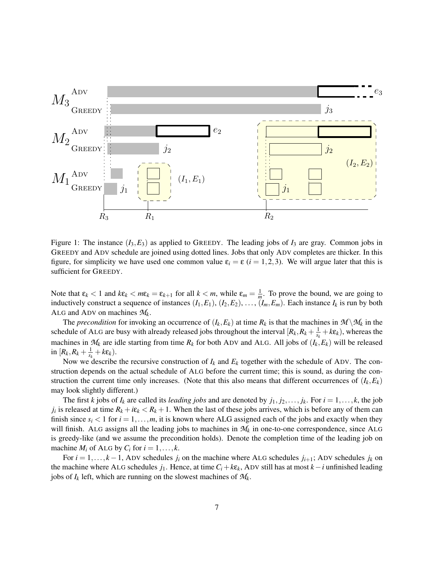

<span id="page-6-0"></span>Figure 1: The instance  $(I_3, E_3)$  as applied to GREEDY. The leading jobs of  $I_3$  are gray. Common jobs in GREEDY and ADV schedule are joined using dotted lines. Jobs that only ADV completes are thicker. In this figure, for simplicity we have used one common value  $\varepsilon_i = \varepsilon$  ( $i = 1, 2, 3$ ). We will argue later that this is sufficient for GREEDY.

Note that  $\varepsilon_k$  < 1 and  $k\varepsilon_k$  <  $m\varepsilon_k = \varepsilon_{k+1}$  for all  $k < m$ , while  $\varepsilon_m = \frac{1}{m}$ . To prove the bound, we are going to inductively construct a sequence of instances  $(I_1, E_1), (I_2, E_2), \ldots, (I_m, E_m)$ . Each instance  $I_k$  is run by both ALG and ADV on machines *Mk*.

The *precondition* for invoking an occurrence of  $(I_k, E_k)$  at time  $R_k$  is that the machines in  $\mathcal{M} \setminus \mathcal{M}_k$  in the schedule of ALG are busy with already released jobs throughout the interval  $[R_k, R_k + \frac{1}{s_k} + k\epsilon_k)$ , whereas the machines in  $M_k$  are idle starting from time  $R_k$  for both ADV and ALG. All jobs of  $(I_k, E_k)$  will be released in  $[R_k, R_k + \frac{1}{s_k} + k\epsilon_k)$ .

Now we describe the recursive construction of  $I_k$  and  $E_k$  together with the schedule of ADV. The construction depends on the actual schedule of ALG before the current time; this is sound, as during the construction the current time only increases. (Note that this also means that different occurrences of  $(I_k, E_k)$ ) may look slightly different.)

The first *k* jobs of  $I_k$  are called its *leading jobs* and are denoted by  $j_1, j_2, \ldots, j_k$ . For  $i = 1, \ldots, k$ , the job *j<sub>i</sub>* is released at time  $R_k + i\varepsilon_k < R_k + 1$ . When the last of these jobs arrives, which is before any of them can finish since  $s_i < 1$  for  $i = 1, \ldots, m$ , it is known where ALG assigned each of the jobs and exactly when they will finish. ALG assigns all the leading jobs to machines in *M<sup>k</sup>* in one-to-one correspondence, since ALG is greedy-like (and we assume the precondition holds). Denote the completion time of the leading job on machine  $M_i$  of ALG by  $C_i$  for  $i = 1, \ldots, k$ .

For  $i = 1, \ldots, k - 1$ , ADV schedules  $j_i$  on the machine where ALG schedules  $j_{i+1}$ ; ADV schedules  $j_k$  on the machine where ALG schedules  $j_1$ . Hence, at time  $C_i + k\varepsilon_k$ , ADV still has at most  $k - i$  unfinished leading jobs of  $I_k$  left, which are running on the slowest machines of  $M_k$ .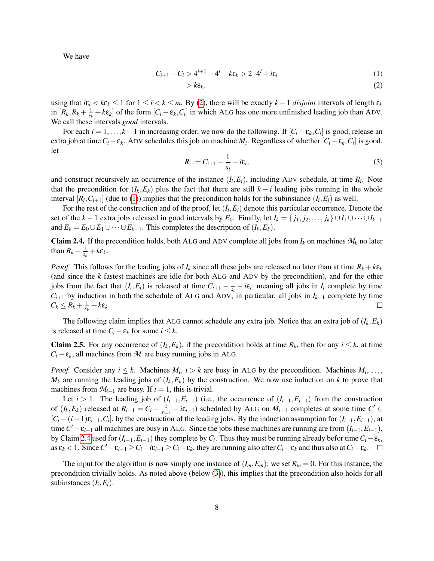We have

$$
C_{i+1} - C_i > 4^{i+1} - 4^i - k\epsilon_k > 2 \cdot 4^i + i\epsilon_i
$$
\n<sup>(1)</sup>

<span id="page-7-1"></span><span id="page-7-0"></span>
$$
>k\epsilon_k,\tag{2}
$$

using that  $i\epsilon_i < k\epsilon_k \le 1$  for  $1 \le i < k \le m$ . By [\(2\)](#page-7-0), there will be exactly  $k-1$  *disjoint* intervals of length  $\epsilon_k$ in  $[R_k, R_k + \frac{1}{s_k} + k\epsilon_k]$  of the form  $[C_i - \epsilon_k, C_i]$  in which ALG has one more unfinished leading job than ADV. We call these intervals *good* intervals.

For each  $i = 1, \ldots, k-1$  in increasing order, we now do the following. If  $[C_i - \varepsilon_k, C_i]$  is good, release an extra job at time  $C_i - \varepsilon_k$ . ADV schedules this job on machine  $M_i$ . Regardless of whether  $[C_i - \varepsilon_k, C_i]$  is good, let

<span id="page-7-3"></span>
$$
R_i := C_{i+1} - \frac{1}{s_i} - i\varepsilon_i, \tag{3}
$$

and construct recursively an occurrence of the instance  $(I_i, E_i)$ , including ADV schedule, at time  $R_i$ . Note that the precondition for  $(I_k, E_k)$  plus the fact that there are still  $k - i$  leading jobs running in the whole interval  $[R_i, C_{i+1}]$  (due to [\(1\)](#page-7-1)) implies that the precondition holds for the subinstance  $(I_i, E_i)$  as well.

For the rest of the construction and of the proof, let (*I<sup>i</sup>* ,*Ei*) denote this particular occurrence. Denote the set of the *k* − 1 extra jobs released in good intervals by  $E_0$ . Finally, let  $I_k = \{j_1, j_2, \ldots, j_k\} \cup I_1 \cup \cdots \cup I_{k-1}$ and  $E_k = E_0 \cup E_1 \cup \cdots \cup E_{k-1}$ . This completes the description of  $(I_k, E_k)$ .

<span id="page-7-2"></span>Claim 2.4. If the precondition holds, both ALG and ADV complete all jobs from  $I_k$  on machines  $M_k$  no later than  $R_k + \frac{1}{s_k} + k\varepsilon_k$ .

*Proof.* This follows for the leading jobs of  $I_k$  since all these jobs are released no later than at time  $R_k + k\varepsilon_k$ (and since the *k* fastest machines are idle for both ALG and ADV by the precondition), and for the other jobs from the fact that  $(I_i, E_i)$  is released at time  $C_{i+1} - \frac{1}{s_i} - i\varepsilon_i$ , meaning all jobs in  $I_i$  complete by time  $C_{i+1}$  by induction in both the schedule of ALG and ADV; in particular, all jobs in  $I_{k-1}$  complete by time  $C_k \leq R_k + \frac{1}{s_k} + k\varepsilon_k$ .  $\Box$ 

The following claim implies that ALG cannot schedule any extra job. Notice that an extra job of  $(I_k, E_k)$ is released at time  $C_i - \varepsilon_k$  for some  $i \leq k$ .

<span id="page-7-4"></span>**Claim 2.5.** For any occurrence of  $(I_k, E_k)$ , if the precondition holds at time  $R_k$ , then for any  $i \leq k$ , at time  $C_i - \varepsilon_k$ , all machines from *M* are busy running jobs in ALG.

*Proof.* Consider any  $i \leq k$ . Machines  $M_i$ ,  $i > k$  are busy in ALG by the precondition. Machines  $M_i$ , ...,  $M_k$  are running the leading jobs of  $(I_k, E_k)$  by the construction. We now use induction on *k* to prove that machines from  $M_{i-1}$  are busy. If  $i = 1$ , this is trivial.

Let *i* > 1. The leading job of  $(I_{i-1}, E_{i-1})$  (i.e., the occurrence of  $(I_{i-1}, E_{i-1})$  from the construction of  $(I_k, E_k)$  released at  $R_{i-1} = C_i - \frac{1}{s_{i-1}} - i\varepsilon_{i-1}$ ) scheduled by ALG on  $M_{i-1}$  completes at some time  $C' \in$  $[C_i - (i-1)\varepsilon_{i-1}, C_i]$ , by the construction of the leading jobs. By the induction assumption for  $(I_{i-1}, E_{i-1})$ , at time  $C' - \varepsilon_{i-1}$  all machines are busy in ALG. Since the jobs these machines are running are from  $(I_{i-1}, E_{i-1})$ , by Claim [2.4](#page-7-2) used for  $(I_{i-1}, E_{i-1})$  they complete by  $C_i$ . Thus they must be running already befor time  $C_i - \varepsilon_k$ , as  $\epsilon_k$  < 1. Since  $C' - \epsilon_{i-1} \ge C_i - i\epsilon_{i-1} \ge C_i - \epsilon_k$ , they are running also after  $C_i - \epsilon_k$  and thus also at  $C_i - \epsilon_k$ .

The input for the algorithm is now simply one instance of  $(I_m, E_m)$ ; we set  $R_m = 0$ . For this instance, the precondition trivially holds. As noted above (below [\(3\)](#page-7-3)), this implies that the precondition also holds for all subinstances  $(I_i, E_i)$ .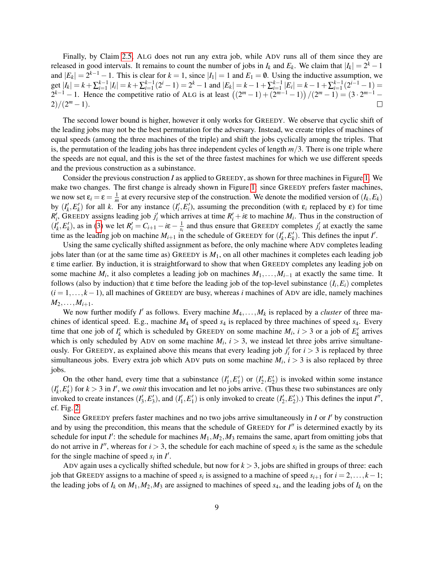Finally, by Claim [2.5,](#page-7-4) ALG does not run any extra job, while ADV runs all of them since they are released in good intervals. It remains to count the number of jobs in  $I_k$  and  $E_k$ . We claim that  $|I_k| = 2^k - 1$ and  $|E_k| = 2^{k-1} - 1$ . This is clear for  $k = 1$ , since  $|I_1| = 1$  and  $E_1 = \emptyset$ . Using the inductive assumption, we get  $|I_k| = k + \sum_{i=1}^{k-1} |I_i| = k + \sum_{i=1}^{k-1} (2^i - 1) = 2^k - 1$  and  $|E_k| = k - 1 + \sum_{i=1}^{k-1} |E_i| = k - 1 + \sum_{i=1}^{k-1} (2^{i-1} - 1) =$  $2^{k-1} - 1$ . Hence the competitive ratio of ALG is at least  $((2^m - 1) + (2^{m-1} - 1)) / (2^m - 1) = (3 \cdot 2^{m-1} - 1)$  $2)/(2<sup>m</sup> - 1).$  $\Box$ 

The second lower bound is higher, however it only works for GREEDY. We observe that cyclic shift of the leading jobs may not be the best permutation for the adversary. Instead, we create triples of machines of equal speeds (among the three machines of the triple) and shift the jobs cyclically among the triples. That is, the permutation of the leading jobs has three independent cycles of length *m*/3. There is one triple where the speeds are not equal, and this is the set of the three fastest machines for which we use different speeds and the previous construction as a subinstance.

Consider the previous construction *I* as applied to GREEDY, as shown for three machines in Figure [1.](#page-6-0) We make two changes. The first change is already shown in Figure [1:](#page-6-0) since GREEDY prefers faster machines, we now set  $\varepsilon_i = \varepsilon = \frac{1}{m}$  at every recursive step of the construction. We denote the modified version of  $(I_k, E_k)$ by  $(I'_k, E'_k)$  for all *k*. For any instance  $(I'_i, E'_i)$ , assuming the precondition (with  $\varepsilon_i$  replaced by  $\varepsilon$ ) for time  $R'_i$ , GREEDY assigns leading job  $j'_i$  which arrives at time  $R'_i + i\varepsilon$  to machine  $M_i$ . Thus in the construction of  $(I'_k, E'_k)$ , as in [\(3\)](#page-7-3) we let  $R'_i = C_{i+1} - i\varepsilon - \frac{1}{s_i}$  and thus ensure that GREEDY completes  $j'_i$  at exactly the same time as the leading job on machine  $M_{i+1}$  in the schedule of GREEDY for  $(I'_k, E'_k)$ . This defines the input *I'*.

Using the same cyclically shifted assignment as before, the only machine where ADV completes leading jobs later than (or at the same time as) GREEDY is *M*1, on all other machines it completes each leading job ε time earlier. By induction, it is straightforward to show that when GREEDY completes any leading job on some machine  $M_i$ , it also completes a leading job on machines  $M_1, \ldots, M_{i-1}$  at exactly the same time. It follows (also by induction) that  $\varepsilon$  time before the leading job of the top-level subinstance  $(I_i, E_i)$  completes (*i* = 1,..., *k*−1), all machines of GREEDY are busy, whereas *i* machines of ADV are idle, namely machines  $M_2, \ldots, M_{i+1}$ .

We now further modify *I'* as follows. Every machine  $M_4, \ldots, M_k$  is replaced by a *cluster* of three machines of identical speed. E.g., machine *M*<sup>4</sup> of speed *s*<sup>4</sup> is replaced by three machines of speed *s*4. Every time that one job of  $I'_k$  which is scheduled by GREEDY on some machine  $M_i$ ,  $i > 3$  or a job of  $E'_k$  arrives which is only scheduled by ADV on some machine  $M_i$ ,  $i > 3$ , we instead let three jobs arrive simultaneously. For GREEDY, as explained above this means that every leading job  $j_i'$  for  $i > 3$  is replaced by three simultaneous jobs. Every extra job which ADV puts on some machine  $M_i$ ,  $i > 3$  is also replaced by three jobs.

On the other hand, every time that a subinstance  $(I'_1, E'_1)$  or  $(I'_2, E'_2)$  is invoked within some instance  $(I'_k, E'_k)$  for  $k > 3$  in *I'*, we *omit* this invocation and let no jobs arrive. (Thus these two subinstances are only invoked to create instances  $(I'_3, E'_3)$ , and  $(I'_1, E'_1)$  is only invoked to create  $(I'_2, E'_2)$ .) This defines the input *I''*, cf. Fig. [2.](#page-9-1)

Since GREEDY prefers faster machines and no two jobs arrive simultaneously in *I* or *I'* by construction and by using the precondition, this means that the schedule of GREEDY for *I*<sup>n</sup> is determined exactly by its schedule for input *I*': the schedule for machines  $M_1, M_2, M_3$  remains the same, apart from omitting jobs that do not arrive in  $I''$ , whereas for  $i > 3$ , the schedule for each machine of speed  $s_i$  is the same as the schedule for the single machine of speed  $s_i$  in  $I'$ .

ADV again uses a cyclically shifted schedule, but now for *k* > 3, jobs are shifted in groups of three: each job that GREEDY assigns to a machine of speed  $s_i$  is assigned to a machine of speed  $s_{i+1}$  for  $i = 2, \ldots, k-1$ ; the leading jobs of  $I_k$  on  $M_1, M_2, M_3$  are assigned to machines of speed  $s_4$ , and the leading jobs of  $I_k$  on the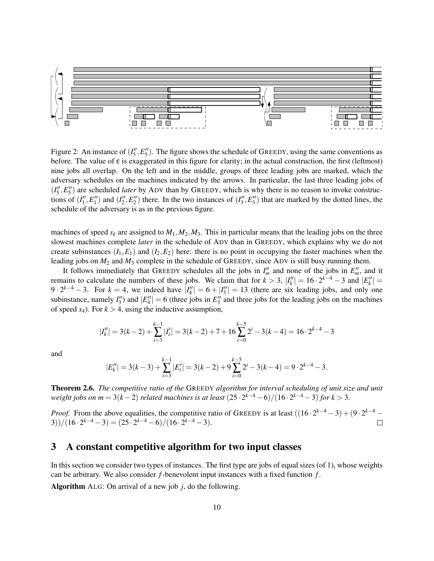

<span id="page-9-1"></span>Figure 2: An instance of  $(I''_5, E''_5)$ . The figure shows the schedule of GREEDY, using the same conventions as before. The value of  $\varepsilon$  is exaggerated in this figure for clarity; in the actual construction, the first (leftmost) nine jobs all overlap. On the left and in the middle, groups of three leading jobs are marked, which the adversary schedules on the machines indicated by the arrows. In particular, the last three leading jobs of  $(I_5'', E_5'')$  are scheduled *later* by ADV than by GREEDY, which is why there is no reason to invoke constructions of  $(I''_1, E''_1)$  and  $(I''_2, E''_2)$  there. In the two instances of  $(I''_3, E''_3)$  that are marked by the dotted lines, the schedule of the adversary is as in the previous figure.

machines of speed  $s_k$  are assigned to  $M_1, M_2, M_3$ . This in particular means that the leading jobs on the three slowest machines complete *later* in the schedule of ADV than in GREEDY, which explains why we do not create subinstances  $(I_1, E_1)$  and  $(I_2, E_2)$  here: there is no point in occupying the faster machines when the leading jobs on  $M_2$  and  $M_3$  complete in the schedule of GREEDY, since ADV is still busy running them.

It follows immediately that GREEDY schedules all the jobs in  $I''_m$  and none of the jobs in  $E''_m$ , and it remains to calculate the numbers of these jobs. We claim that for  $k > 3$ ,  $|I_k''| = 16 \cdot 2^{k-4} - 3$  and  $|E_k''| =$  $9 \cdot 2^{k-4} - 3$ . For  $k = 4$ , we indeed have  $|I_4''| = 6 + |I_3''| = 13$  (there are six leading jobs, and only one subinstance, namely  $I_3''$ ) and  $|E_4''| = 6$  (three jobs in  $E_3''$  and three jobs for the leading jobs on the machines of speed  $s_4$ ). For  $k > 4$ , using the inductive assumption,

$$
|I''_k| = 3(k-2) + \sum_{i=3}^{k-1} |I'_i| = 3(k-2) + 7 + 16\sum_{i=0}^{k-5} 2^i - 3(k-4) = 16 \cdot 2^{k-4} - 3
$$

and

$$
|E_k''| = 3(k-3) + \sum_{i=3}^{k-1} |E_i'| = 3(k-2) + 9\sum_{i=0}^{k-5} 2^i - 3(k-4) = 9 \cdot 2^{k-4} - 3.
$$

Theorem 2.6. *The competitive ratio of the* GREEDY *algorithm for interval scheduling of unit size and unit weight jobs on m* = 3( $k - 2$ ) *related machines is at least*  $(25 \cdot 2^{k-4} - 6)/(16 \cdot 2^{k-4} - 3)$  *for*  $k > 3$ *.* 

*Proof.* From the above equalities, the competitive ratio of GREEDY is at least  $((16 \cdot 2^{k-4} - 3) + (9 \cdot 2^{k-4} - 3))$  $3)$  $/(16 \cdot 2^{k-4} - 3) = (25 \cdot 2^{k-4} - 6)/(16 \cdot 2^{k-4} - 3).$  $\Box$ 

# <span id="page-9-0"></span>3 A constant competitive algorithm for two input classes

In this section we consider two types of instances. The first type are jobs of equal sizes (of 1), whose weights can be arbitrary. We also consider *f*-benevolent input instances with a fixed function *f* .

Algorithm ALG: On arrival of a new job *j*, do the following.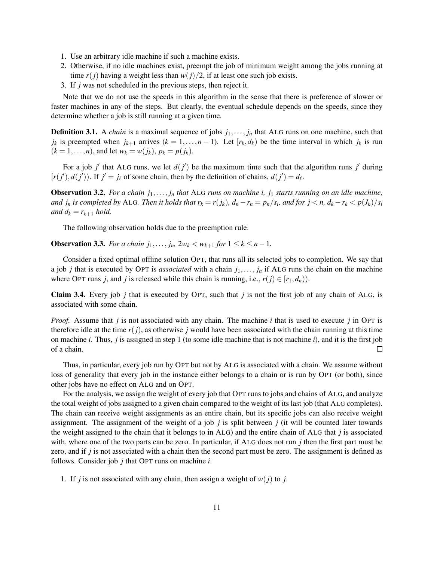- 1. Use an arbitrary idle machine if such a machine exists.
- 2. Otherwise, if no idle machines exist, preempt the job of minimum weight among the jobs running at time  $r(j)$  having a weight less than  $w(j)/2$ , if at least one such job exists.
- 3. If *j* was not scheduled in the previous steps, then reject it.

Note that we do not use the speeds in this algorithm in the sense that there is preference of slower or faster machines in any of the steps. But clearly, the eventual schedule depends on the speeds, since they determine whether a job is still running at a given time.

**Definition 3.1.** A *chain* is a maximal sequence of jobs  $j_1, \ldots, j_n$  that ALG runs on one machine, such that *j<sub>k</sub>* is preempted when *j<sub>k+1</sub>* arrives ( $k = 1, ..., n - 1$ ). Let  $[r_k, d_k]$  be the time interval in which *j<sub>k</sub>* is run  $(k = 1, ..., n)$ , and let  $w_k = w(j_k)$ ,  $p_k = p(j_k)$ .

For a job *j'* that ALG runs, we let  $d(j')$  be the maximum time such that the algorithm runs *j'* during  $[r(j'), d(j')$ ). If  $j' = j_\ell$  of some chain, then by the definition of chains,  $d(j') = d_\ell$ .

**Observation 3.2.** *For a chain*  $j_1, \ldots, j_n$  *that* ALG *runs on machine i,*  $j_1$  *starts running on an idle machine,* and  $j_n$  is completed by ALG. Then it holds that  $r_k = r(j_k)$ ,  $d_n - r_n = p_n/s_i$ , and for  $j < n$ ,  $d_k - r_k < p(J_k)/s_i$ *and*  $d_k = r_{k+1}$  *hold.* 

The following observation holds due to the preemption rule.

<span id="page-10-0"></span>**Observation 3.3.** *For a chain*  $j_1, \ldots, j_n$ ,  $2w_k < w_{k+1}$  *for*  $1 \leq k \leq n-1$ *.* 

Consider a fixed optimal offline solution OPT, that runs all its selected jobs to completion. We say that a job *j* that is executed by OPT is *associated* with a chain  $j_1, \ldots, j_n$  if ALG runs the chain on the machine where OPT runs *j*, and *j* is released while this chain is running, i.e.,  $r(j) \in [r_1, d_n)$ .

Claim 3.4. Every job *j* that is executed by OPT, such that *j* is not the first job of any chain of ALG, is associated with some chain.

*Proof.* Assume that *j* is not associated with any chain. The machine *i* that is used to execute *j* in OPT is therefore idle at the time  $r(j)$ , as otherwise *j* would have been associated with the chain running at this time on machine *i*. Thus, *j* is assigned in step 1 (to some idle machine that is not machine *i*), and it is the first job of a chain.  $\Box$ 

Thus, in particular, every job run by OPT but not by ALG is associated with a chain. We assume without loss of generality that every job in the instance either belongs to a chain or is run by OPT (or both), since other jobs have no effect on ALG and on OPT.

For the analysis, we assign the weight of every job that OPT runs to jobs and chains of ALG, and analyze the total weight of jobs assigned to a given chain compared to the weight of its last job (that ALG completes). The chain can receive weight assignments as an entire chain, but its specific jobs can also receive weight assignment. The assignment of the weight of a job *j* is split between *j* (it will be counted later towards the weight assigned to the chain that it belongs to in ALG) and the entire chain of ALG that *j* is associated with, where one of the two parts can be zero. In particular, if ALG does not run *j* then the first part must be zero, and if *j* is not associated with a chain then the second part must be zero. The assignment is defined as follows. Consider job *j* that OPT runs on machine *i*.

1. If *j* is not associated with any chain, then assign a weight of  $w(j)$  to *j*.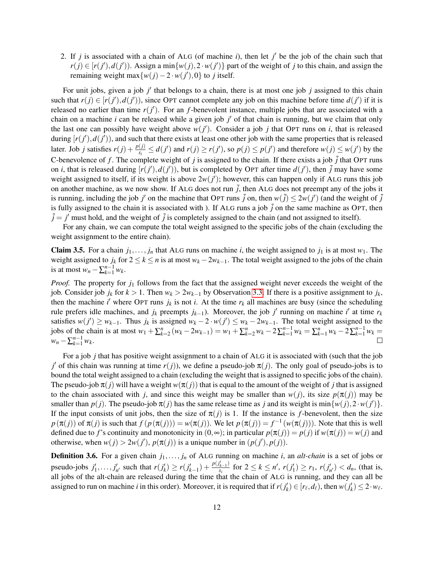2. If  $j$  is associated with a chain of ALG (of machine  $i$ ), then let  $j'$  be the job of the chain such that  $r(j) \in [r(j'), d(j')].$  Assign a min $\{w(j), 2 \cdot w(j')\}$  part of the weight of *j* to this chain, and assign the remaining weight max  $\{w(j) - 2 \cdot w(j'), 0\}$  to *j* itself.

For unit jobs, given a job *j'* that belongs to a chain, there is at most one job *j* assigned to this chain such that  $r(j) \in [r(j'), d(j')),$  since OPT cannot complete any job on this machine before time  $d(j')$  if it is released no earlier than time  $r(j')$ . For an *f*-benevolent instance, multiple jobs that are associated with a chain on a machine *i* can be released while a given job *j'* of that chain is running, but we claim that only the last one can possibly have weight above  $w(j')$ . Consider a job *j* that OPT runs on *i*, that is released during  $[r(j'),d(j')],$  and such that there exists at least one other job with the same properties that is released later. Job j satisfies  $r(j) + \frac{p(j)}{s_i} \le d(j')$  and  $r(j) \ge r(j')$ , so  $p(j) \le p(j')$  and therefore  $w(j) \le w(j')$  by the C-benevolence of  $f$ . The complete weight of  $j$  is assigned to the chain. If there exists a job  $\tilde{j}$  that OPT runs on *i*, that is released during  $[r(j'), d(j'))$ , but is completed by OPT after time  $d(j')$ , then  $\tilde{j}$  may have some weight assigned to itself, if its weight is above  $2w(j')$ ; however, this can happen only if ALG runs this job on another machine, as we now show. If ALG does not run  $\tilde{j}$ , then ALG does not preempt any of the jobs it is running, including the job *j'* on the machine that OPT runs  $\tilde{j}$  on, then  $w(\tilde{j}) \le 2w(j')$  (and the weight of  $\tilde{j}$ is fully assigned to the chain it is associated with ). If ALG runs a job  $\tilde{j}$  on the same machine as OPT, then  $\tilde{j} = j'$  must hold, and the weight of  $\tilde{j}$  is completely assigned to the chain (and not assigned to itself).

For any chain, we can compute the total weight assigned to the specific jobs of the chain (excluding the weight assignment to the entire chain).

<span id="page-11-0"></span>**Claim 3.5.** For a chain  $j_1, \ldots, j_n$  that ALG runs on machine *i*, the weight assigned to  $j_1$  is at most  $w_1$ . The weight assigned to  $j_k$  for  $2 \le k \le n$  is at most  $w_k - 2w_{k-1}$ . The total weight assigned to the jobs of the chain is at most  $w_n - \sum_{k=1}^{n-1} w_k$ .

*Proof.* The property for  $j_1$  follows from the fact that the assigned weight never exceeds the weight of the job. Consider job  $j_k$  for  $k > 1$ . Then  $w_k > 2w_{k-1}$  by Observation [3.3.](#page-10-0) If there is a positive assignment to  $j_k$ , then the machine *i*' where OPT runs  $j_k$  is not *i*. At the time  $r_k$  all machines are busy (since the scheduling rule prefers idle machines, and  $j_k$  preempts  $j_{k-1}$ ). Moreover, the job  $j'$  running on machine  $i'$  at time  $r_k$ satisfies  $w(j') \geq w_{k-1}$ . Thus  $j_k$  is assigned  $w_k - 2 \cdot w(j') \leq w_k - 2w_{k-1}$ . The total weight assigned to the jobs of the chain is at most  $w_1 + \sum_{k=2}^n (w_k - 2w_{k-1}) = w_1 + \sum_{k=2}^n w_k - 2\sum_{k=1}^{n-1} w_k = \sum_{k=1}^n w_k - 2\sum_{k=1}^{n-1} w_k =$  $w_n - \sum_{k=1}^{n-1} w_k$ .

For a job *j* that has positive weight assignment to a chain of ALG it is associated with (such that the job  $j'$  of this chain was running at time  $r(j)$ ), we define a pseudo-job  $\pi(j)$ . The only goal of pseudo-jobs is to bound the total weight assigned to a chain (excluding the weight that is assigned to specific jobs of the chain). The pseudo-job  $\pi(j)$  will have a weight  $w(\pi(j))$  that is equal to the amount of the weight of *j* that is assigned to the chain associated with *j*, and since this weight may be smaller than  $w(j)$ , its size  $p(\pi(j))$  may be smaller than  $p(j)$ . The pseudo-job  $\pi(j)$  has the same release time as *j* and its weight is  $\min\{w(j), 2 \cdot w(j')\}$ . If the input consists of unit jobs, then the size of  $\pi(j)$  is 1. If the instance is *f*-benevolent, then the size  $p(\pi(j))$  of  $\pi(j)$  is such that  $f(p(\pi(j))) = w(\pi(j))$ . We let  $p(\pi(j)) = f^{-1}(w(\pi(j)))$ . Note that this is well defined due to *f*'s continuity and monotonicity in  $(0, \infty)$ ; in particular  $p(\pi(i)) = p(i)$  if  $w(\pi(i)) = w(i)$  and otherwise, when  $w(j) > 2w(j')$ ,  $p(\pi(j))$  is a unique number in  $(p(j'), p(j))$ .

**Definition 3.6.** For a given chain  $j_1, \ldots, j_n$  of ALG running on machine *i*, an *alt-chain* is a set of jobs or pseudo-jobs  $j'_1, ..., j'_{n'}$  such that  $r(j'_k) \ge r(j'_{k-1}) + \frac{p(j'_{k-1})}{s_i}$  $\int_{s_i}^{r_{k-1}}$  for  $2 \le k \le n'$ ,  $r(j'_1) \ge r_1$ ,  $r(j'_{n'}) < d_n$ , (that is, all jobs of the alt-chain are released during the time that the chain of ALG is running, and they can all be assigned to run on machine *i* in this order). Moreover, it is required that if  $r(j'_k) \in [r_\ell, d_\ell)$ , then  $w(j'_k) \leq 2 \cdot w_\ell$ .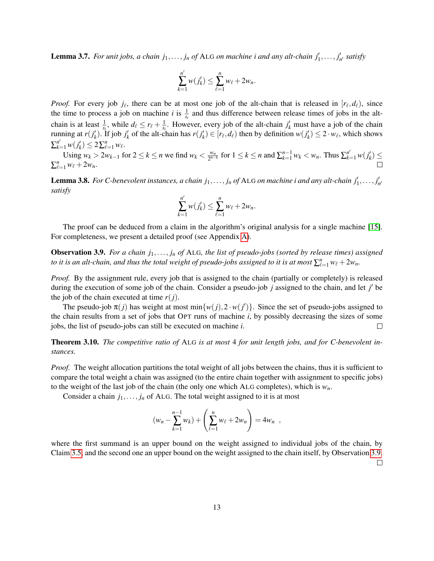**Lemma 3.7.** For unit jobs, a chain  $j_1, \ldots, j_n$  of ALG on machine i and any alt-chain  $j'_1, \ldots, j'_{n'}$  satisfy

$$
\sum_{k=1}^{n'} w(j'_k) \le \sum_{\ell=1}^n w_\ell + 2w_n.
$$

*Proof.* For every job  $j_\ell$ , there can be at most one job of the alt-chain that is released in  $[r_\ell, d_\ell)$ , since the time to process a job on machine *i* is  $\frac{1}{s_i}$  and thus difference between release times of jobs in the altchain is at least  $\frac{1}{s_i}$ , while  $d_\ell \leq r_\ell + \frac{1}{s_i}$ . However, every job of the alt-chain  $j'_k$  must have a job of the chain running at  $r(j'_k)$ . If job  $j'_k$  of the alt-chain has  $r(j'_k) \in [r_\ell, d_\ell)$  then by definition  $w(j'_k) \leq 2 \cdot w_\ell$ , which shows  $\sum_{k=1}^{n'} w(j'_k) \leq 2 \sum_{\ell=1}^{n} w_{\ell}.$ 

Using  $w_k > 2w_{k-1}$  for  $2 \le k \le n$  we find  $w_k < \frac{w_n}{2^n-1}$  $\frac{w_n}{2^{n-k}}$  for 1 ≤ *k* ≤ *n* and  $\sum_{k=1}^{n-1} w_k < w_n$ . Thus  $\sum_{k=1}^{n'} w(j'_k)$  ≤  $\sum_{\ell=1}^n w_\ell + 2w_n$ .

<span id="page-12-1"></span>**Lemma 3.8.** For C-benevolent instances, a chain  $j_1, \ldots, j_n$  of ALG on machine i and any alt-chain  $j'_1, \ldots, j'_{n'}$ *satisfy*

$$
\sum_{k=1}^{n'} w(j'_k) \le \sum_{\ell=1}^n w_\ell + 2w_n.
$$

The proof can be deduced from a claim in the algorithm's original analysis for a single machine [\[15\]](#page-17-5). For completeness, we present a detailed proof (see Appendix [A\)](#page-15-0).

<span id="page-12-0"></span>Observation 3.9. *For a chain j*1,..., *j<sup>n</sup> of* ALG*, the list of pseudo-jobs (sorted by release times) assigned to it is an alt-chain, and thus the total weight of pseudo-jobs assigned to it is at most*  $\sum_{\ell=1}^n w_\ell + 2w_n$ *.* 

*Proof.* By the assignment rule, every job that is assigned to the chain (partially or completely) is released during the execution of some job of the chain. Consider a pseudo-job *j* assigned to the chain, and let *j'* be the job of the chain executed at time *r*(*j*).

The pseudo-job  $\pi(j)$  has weight at most min $\{w(j), 2 \cdot w(j')\}$ . Since the set of pseudo-jobs assigned to the chain results from a set of jobs that OPT runs of machine *i*, by possibly decreasing the sizes of some jobs, the list of pseudo-jobs can still be executed on machine *i*.  $\Box$ 

Theorem 3.10. *The competitive ratio of* ALG *is at most* 4 *for unit length jobs, and for C-benevolent instances.*

*Proof.* The weight allocation partitions the total weight of all jobs between the chains, thus it is sufficient to compare the total weight a chain was assigned (to the entire chain together with assignment to specific jobs) to the weight of the last job of the chain (the only one which ALG completes), which is  $w_n$ .

Consider a chain  $j_1, \ldots, j_n$  of ALG. The total weight assigned to it is at most

$$
(w_n - \sum_{k=1}^{n-1} w_k) + \left(\sum_{\ell=1}^n w_\ell + 2w_n\right) = 4w_n ,
$$

where the first summand is an upper bound on the weight assigned to individual jobs of the chain, by Claim [3.5,](#page-11-0) and the second one an upper bound on the weight assigned to the chain itself, by Observation [3.9.](#page-12-0)

 $\Box$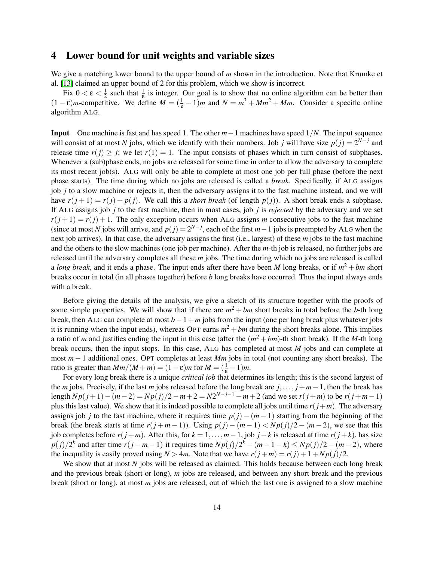# <span id="page-13-0"></span>4 Lower bound for unit weights and variable sizes

We give a matching lower bound to the upper bound of *m* shown in the introduction. Note that Krumke et al. [\[13\]](#page-17-0) claimed an upper bound of 2 for this problem, which we show is incorrect.

Fix  $0 < \varepsilon < \frac{1}{2}$  $\frac{1}{2}$  such that  $\frac{1}{\epsilon}$  is integer. Our goal is to show that no online algorithm can be better than  $(1 - \varepsilon)m$ -competitive. We define  $M = (\frac{1}{\varepsilon} - 1)m$  and  $N = m^3 + Mm^2 + Mm$ . Consider a specific online algorithm ALG.

Input One machine is fast and has speed 1. The other *m*−1 machines have speed 1/*N*. The input sequence will consist of at most *N* jobs, which we identify with their numbers. Job *j* will have size  $p(j) = 2^{N-j}$  and release time  $r(j) \geq j$ ; we let  $r(1) = 1$ . The input consists of phases which in turn consist of subphases. Whenever a (sub)phase ends, no jobs are released for some time in order to allow the adversary to complete its most recent job(s). ALG will only be able to complete at most one job per full phase (before the next phase starts). The time during which no jobs are released is called a *break*. Specifically, if ALG assigns job *j* to a slow machine or rejects it, then the adversary assigns it to the fast machine instead, and we will have  $r(j+1) = r(j) + p(j)$ . We call this a *short break* (of length  $p(j)$ ). A short break ends a subphase. If ALG assigns job *j* to the fast machine, then in most cases, job *j* is *rejected* by the adversary and we set  $r(j+1) = r(j) + 1$ . The only exception occurs when ALG assigns *m* consecutive jobs to the fast machine (since at most *N* jobs will arrive, and  $p(j) = 2^{N-j}$ , each of the first  $m-1$  jobs is preempted by ALG when the next job arrives). In that case, the adversary assigns the first (i.e., largest) of these *m* jobs to the fast machine and the others to the slow machines (one job per machine). After the *m*-th job is released, no further jobs are released until the adversary completes all these *m* jobs. The time during which no jobs are released is called a *long break*, and it ends a phase. The input ends after there have been *M* long breaks, or if  $m^2 + bm$  short breaks occur in total (in all phases together) before *b* long breaks have occurred. Thus the input always ends with a break.

Before giving the details of the analysis, we give a sketch of its structure together with the proofs of some simple properties. We will show that if there are  $m^2 + bm$  short breaks in total before the *b*-th long break, then ALG can complete at most *b*−1+*m* jobs from the input (one per long break plus whatever jobs it is running when the input ends), whereas OPT earns  $m^2 + bm$  during the short breaks alone. This implies a ratio of *m* and justifies ending the input in this case (after the  $(m^2 + bm)$ -th short break). If the *M*-th long break occurs, then the input stops. In this case, ALG has completed at most *M* jobs and can complete at most *m*−1 additional ones. OPT completes at least *Mm* jobs in total (not counting any short breaks). The ratio is greater than  $Mm/(M+m) = (1 - \varepsilon)m$  for  $M = (\frac{1}{\varepsilon} - 1)m$ .

For every long break there is a unique *critical job* that determines its length; this is the second largest of the *m* jobs. Precisely, if the last *m* jobs released before the long break are *j*,..., *j*+*m*−1, then the break has length  $Np(j+1) - (m-2) = Np(j)/2 - m + 2 = N2^{N-j-1} - m + 2$  (and we set  $r(j+m)$  to be  $r(j+m-1)$ ) plus this last value). We show that it is indeed possible to complete all jobs until time  $r(j+m)$ . The adversary assigns job *j* to the fast machine, where it requires time  $p(j) - (m-1)$  starting from the beginning of the break (the break starts at time  $r(j+m-1)$ ). Using  $p(j)-(m-1) < Np(j)/2-(m-2)$ , we see that this job completes before *r*(*j*+*m*). After this, for *k* = 1,...,*m*−1, job *j*+*k* is released at time *r*(*j*+*k*), has size  $p(j)/2^k$  and after time  $r(j+m-1)$  it requires time  $Np(j)/2^k - (m-1-k) \leq Np(j)/2 - (m-2)$ , where the inequality is easily proved using  $N > 4m$ . Note that we have  $r(j+m) = r(j) + 1 + Np(j)/2$ .

We show that at most *N* jobs will be released as claimed. This holds because between each long break and the previous break (short or long), *m* jobs are released, and between any short break and the previous break (short or long), at most *m* jobs are released, out of which the last one is assigned to a slow machine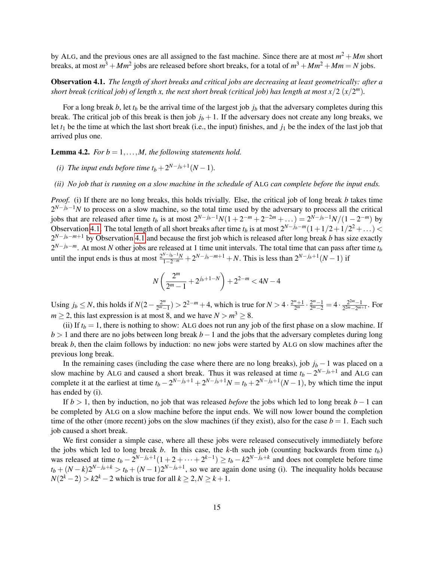by ALG, and the previous ones are all assigned to the fast machine. Since there are at most  $m^2 + Mm$  short breaks, at most  $m^3 + Mm^2$  jobs are released before short breaks, for a total of  $m^3 + Mm^2 + Mm = N$  jobs.

<span id="page-14-0"></span>Observation 4.1. *The length of short breaks and critical jobs are decreasing at least geometrically: after a short break (critical job) of length x, the next short break (critical job) has length at most*  $x/2$  $(x/2<sup>m</sup>)$ *.* 

For a long break *b*, let  $t_b$  be the arrival time of the largest job  $j_b$  that the adversary completes during this break. The critical job of this break is then job  $j_b + 1$ . If the adversary does not create any long breaks, we let  $t_1$  be the time at which the last short break (i.e., the input) finishes, and  $j_1$  be the index of the last job that arrived plus one.

<span id="page-14-1"></span>**Lemma 4.2.** *For*  $b = 1, ..., M$ *, the following statements hold.* 

- *(i) The input ends before time*  $t_b + 2^{N-j_b+1}(N-1)$ *.*
- *(ii) No job that is running on a slow machine in the schedule of* ALG *can complete before the input ends.*

*Proof.* (i) If there are no long breaks, this holds trivially. Else, the critical job of long break *b* takes time  $2^{N-j_b-1}N$  to process on a slow machine, so the total time used by the adversary to process all the critical jobs that are released after time  $t_b$  is at most  $2^{N-j_b-1}N(1+2^{-m}+2^{-2m}+\dots) = 2^{N-j_b-1}N/(1-2^{-m})$  by Observation [4.1.](#page-14-0) The total length of all short breaks after time  $t_b$  is at most  $2^{N-j_b-m}(1+1/2+1/2^2+\dots)$  < 2<sup>*N*−*j*<sub>*b*</sub>−*m*+1</sup> by Observation [4.1](#page-14-0) and because the first job which is released after long break *b* has size exactly 2 *<sup>N</sup>*−*jb*−*m*. At most *N* other jobs are released at 1 time unit intervals. The total time that can pass after time *t<sup>b</sup>* until the input ends is thus at most  $\frac{2^{N-j}b^{-1}N}{1-2^{-m}} + 2^{N-j}b^{-m+1} + N$ . This is less than  $2^{N-j}b^{+1}(N-1)$  if

$$
N\left(\frac{2^m}{2^m-1}+2^{j_b+1-N}\right)+2^{2-m}<4N-4
$$

Using *j<sub>b</sub>*  $\leq N$ , this holds if  $N(2 - \frac{2^m}{2^m - 1})$  $\frac{2^m}{2^m-1}$ ) >  $2^{2-m}+4$ , which is true for  $N > 4 \cdot \frac{2^m+1}{2^m} \cdot \frac{2^m-1}{2^m-2}$  $\frac{2^m-1}{2^m-2} = 4 \cdot \frac{2^{2m}-1}{2^{2m}-2^m}$  $\frac{2^{2m}-1}{2^{2m}-2^{m+1}}$ . For  $m \ge 2$ , this last expression is at most 8, and we have  $N > m^3 \ge 8$ .

(ii) If  $t_b = 1$ , there is nothing to show: ALG does not run any job of the first phase on a slow machine. If *b* > 1 and there are no jobs between long break *b* − 1 and the jobs that the adversary completes during long break *b*, then the claim follows by induction: no new jobs were started by ALG on slow machines after the previous long break.

In the remaining cases (including the case where there are no long breaks), job  $j_b - 1$  was placed on a slow machine by ALG and caused a short break. Thus it was released at time  $t_b - 2^{N-j_b+1}$  and ALG can complete it at the earliest at time  $t_b - 2^{N-j_b+1} + 2^{N-j_b+1}N = t_b + 2^{N-j_b+1}(N-1)$ , by which time the input has ended by (i).

If *b* > 1, then by induction, no job that was released *before* the jobs which led to long break *b*−1 can be completed by ALG on a slow machine before the input ends. We will now lower bound the completion time of the other (more recent) jobs on the slow machines (if they exist), also for the case  $b = 1$ . Each such job caused a short break.

We first consider a simple case, where all these jobs were released consecutively immediately before the jobs which led to long break *b*. In this case, the *k*-th such job (counting backwards from time *tb*) was released at time  $t_b - 2^{N-j_b+1}(1+2+\cdots+2^{k-1}) \ge t_b - k2^{N-j_b+k}$  and does not complete before time  $t_b + (N-k)2^{N-j_b+k} > t_b + (N-1)2^{N-j_b+1}$ , so we are again done using (i). The inequality holds because *N*(2<sup>*k*</sup> − 2) > *k*2<sup>*k*</sup> − 2 which is true for all *k* ≥ 2,*N* ≥ *k* + 1.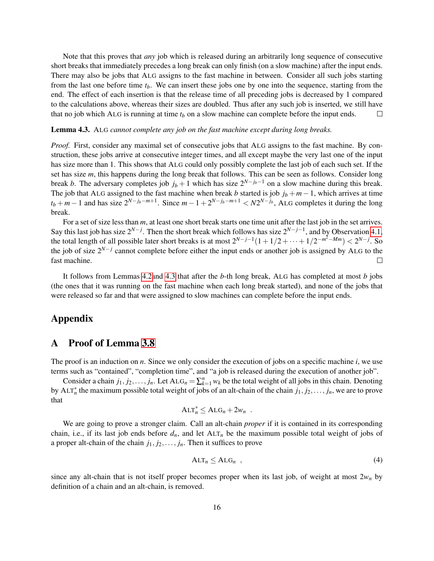Note that this proves that *any* job which is released during an arbitrarily long sequence of consecutive short breaks that immediately precedes a long break can only finish (on a slow machine) after the input ends. There may also be jobs that ALG assigns to the fast machine in between. Consider all such jobs starting from the last one before time *tb*. We can insert these jobs one by one into the sequence, starting from the end. The effect of each insertion is that the release time of all preceding jobs is decreased by 1 compared to the calculations above, whereas their sizes are doubled. Thus after any such job is inserted, we still have that no job which ALG is running at time *t<sup>b</sup>* on a slow machine can complete before the input ends.  $\Box$ 

### <span id="page-15-1"></span>Lemma 4.3. ALG *cannot complete any job on the fast machine except during long breaks.*

*Proof.* First, consider any maximal set of consecutive jobs that ALG assigns to the fast machine. By construction, these jobs arrive at consecutive integer times, and all except maybe the very last one of the input has size more than 1. This shows that ALG could only possibly complete the last job of each such set. If the set has size *m*, this happens during the long break that follows. This can be seen as follows. Consider long break *b*. The adversary completes job  $j_b + 1$  which has size  $2^{N-j_b-1}$  on a slow machine during this break. The job that ALG assigned to the fast machine when break *b* started is job  $j_b + m - 1$ , which arrives at time *t*<sub>*b*</sub> + *m*−1 and has size  $2^{N-j_b-m+1}$ . Since  $m-1+2^{N-j_b-m+1}$  <  $N2^{N-j_b}$ , ALG completes it during the long break.

For a set of size less than *m*, at least one short break starts one time unit after the last job in the set arrives. Say this last job has size  $2^{N-j}$ . Then the short break which follows has size  $2^{N-j-1}$ , and by Observation [4.1,](#page-14-0) the total length of all possible later short breaks is at most  $2^{N-j-1}(1+1/2+\cdots+1/2^{-m^2-Mm}) < 2^{N-j}$ . So the job of size 2*N*−*<sup>j</sup>* cannot complete before either the input ends or another job is assigned by ALG to the fast machine.  $\Box$ 

It follows from Lemmas [4.2a](#page-14-1)nd [4.3](#page-15-1) that after the *b*-th long break, ALG has completed at most *b* jobs (the ones that it was running on the fast machine when each long break started), and none of the jobs that were released so far and that were assigned to slow machines can complete before the input ends.

# Appendix

# <span id="page-15-0"></span>A Proof of Lemma [3.8](#page-12-1)

The proof is an induction on *n*. Since we only consider the execution of jobs on a specific machine *i*, we use terms such as "contained", "completion time", and "a job is released during the execution of another job".

Consider a chain  $j_1, j_2, \ldots, j_n$ . Let  $ALG_n = \sum_{k=1}^n w_k$  be the total weight of all jobs in this chain. Denoting by  $ALT_n^*$  the maximum possible total weight of jobs of an alt-chain of the chain  $j_1, j_2, \ldots, j_n$ , we are to prove that

$$
ALT_n^* \leq ALG_n + 2w_n.
$$

We are going to prove a stronger claim. Call an alt-chain *proper* if it is contained in its corresponding chain, i.e., if its last job ends before  $d_n$ , and let  $ALT_n$  be the maximum possible total weight of jobs of a proper alt-chain of the chain  $j_1, j_2, \ldots, j_n$ . Then it suffices to prove

$$
ALT_n \le ALG_n \t\t(4)
$$

since any alt-chain that is not itself proper becomes proper when its last job, of weight at most 2*w<sup>n</sup>* by definition of a chain and an alt-chain, is removed.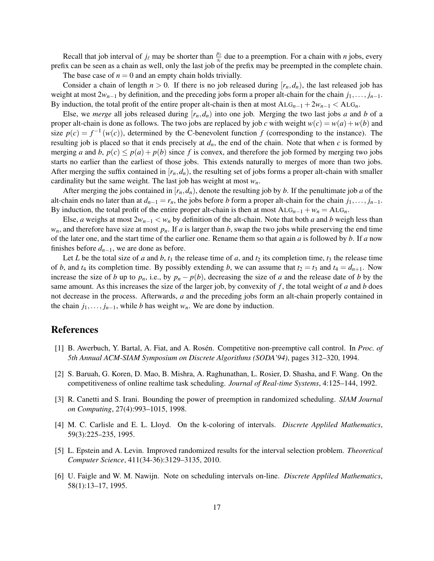Recall that job interval of  $j_\ell$  may be shorter than  $\frac{p_\ell}{s_i}$  due to a preemption. For a chain with *n* jobs, every prefix can be seen as a chain as well, only the last job of the prefix may be preempted in the complete chain.

The base case of  $n = 0$  and an empty chain holds trivially.

Consider a chain of length  $n > 0$ . If there is no job released during  $[r_n, d_n)$ , the last released job has weight at most 2*wn*−<sup>1</sup> by definition, and the preceding jobs form a proper alt-chain for the chain *j*1,..., *jn*−1. By induction, the total profit of the entire proper alt-chain is then at most  $ALG_{n-1} + 2w_{n-1} < ALG_n$ .

Else, we *merge* all jobs released during  $[r_n, d_n]$  into one job. Merging the two last jobs *a* and *b* of a proper alt-chain is done as follows. The two jobs are replaced by job *c* with weight  $w(c) = w(a) + w(b)$  and size  $p(c) = f^{-1}(w(c))$ , determined by the C-benevolent function *f* (corresponding to the instance). The resulting job is placed so that it ends precisely at  $d<sub>n</sub>$ , the end of the chain. Note that when  $c$  is formed by merging *a* and *b*,  $p(c) \leq p(a) + p(b)$  since *f* is convex, and therefore the job formed by merging two jobs starts no earlier than the earliest of those jobs. This extends naturally to merges of more than two jobs. After merging the suffix contained in  $[r_n,d_n)$ , the resulting set of jobs forms a proper alt-chain with smaller cardinality but the same weight. The last job has weight at most *wn*.

After merging the jobs contained in  $[r_n, d_n)$ , denote the resulting job by *b*. If the penultimate job *a* of the alt-chain ends no later than at  $d_{n-1} = r_n$ , the jobs before *b* form a proper alt-chain for the chain  $j_1, \ldots, j_{n-1}$ . By induction, the total profit of the entire proper alt-chain is then at most  $ALG_{n-1} + w_n = ALG_n$ .

Else, *a* weighs at most  $2w_{n-1} < w_n$  by definition of the alt-chain. Note that both *a* and *b* weigh less than  $w_n$ , and therefore have size at most  $p_n$ . If *a* is larger than *b*, swap the two jobs while preserving the end time of the later one, and the start time of the earlier one. Rename them so that again *a* is followed by *b*. If *a* now finishes before  $d_{n-1}$ , we are done as before.

Let *L* be the total size of *a* and *b*,  $t_1$  the release time of *a*, and  $t_2$  its completion time,  $t_3$  the release time of *b*, and  $t_4$  its completion time. By possibly extending *b*, we can assume that  $t_2 = t_3$  and  $t_4 = d_{n+1}$ . Now increase the size of *b* up to  $p_n$ , i.e., by  $p_n - p(b)$ , decreasing the size of *a* and the release date of *b* by the same amount. As this increases the size of the larger job, by convexity of *f* , the total weight of *a* and *b* does not decrease in the process. Afterwards, *a* and the preceding jobs form an alt-chain properly contained in the chain  $j_1, \ldots, j_{n-1}$ , while *b* has weight  $w_n$ . We are done by induction.

# References

- <span id="page-16-0"></span>[1] B. Awerbuch, Y. Bartal, A. Fiat, and A. Rosén. Competitive non-preemptive call control. In *Proc. of 5th Annual ACM-SIAM Symposium on Discrete Algorithms (SODA'94)*, pages 312–320, 1994.
- <span id="page-16-5"></span>[2] S. Baruah, G. Koren, D. Mao, B. Mishra, A. Raghunathan, L. Rosier, D. Shasha, and F. Wang. On the competitiveness of online realtime task scheduling. *Journal of Real-time Systems*, 4:125–144, 1992.
- <span id="page-16-1"></span>[3] R. Canetti and S. Irani. Bounding the power of preemption in randomized scheduling. *SIAM Journal on Computing*, 27(4):993–1015, 1998.
- <span id="page-16-3"></span>[4] M. C. Carlisle and E. L. Lloyd. On the k-coloring of intervals. *Discrete Appliled Mathematics*, 59(3):225–235, 1995.
- <span id="page-16-4"></span>[5] L. Epstein and A. Levin. Improved randomized results for the interval selection problem. *Theoretical Computer Science*, 411(34-36):3129–3135, 2010.
- <span id="page-16-2"></span>[6] U. Faigle and W. M. Nawijn. Note on scheduling intervals on-line. *Discrete Appliled Mathematics*, 58(1):13–17, 1995.